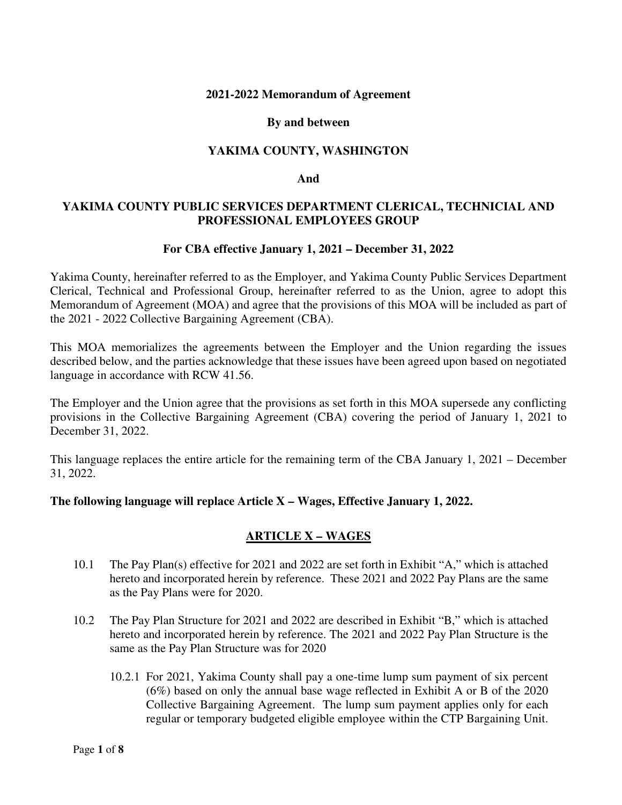#### **2021-2022 Memorandum of Agreement**

#### **By and between**

# **YAKIMA COUNTY, WASHINGTON**

#### **And**

# **YAKIMA COUNTY PUBLIC SERVICES DEPARTMENT CLERICAL, TECHNICIAL AND PROFESSIONAL EMPLOYEES GROUP**

#### **For CBA effective January 1, 2021 – December 31, 2022**

Yakima County, hereinafter referred to as the Employer, and Yakima County Public Services Department Clerical, Technical and Professional Group, hereinafter referred to as the Union, agree to adopt this Memorandum of Agreement (MOA) and agree that the provisions of this MOA will be included as part of the 2021 - 2022 Collective Bargaining Agreement (CBA).

This MOA memorializes the agreements between the Employer and the Union regarding the issues described below, and the parties acknowledge that these issues have been agreed upon based on negotiated language in accordance with RCW 41.56.

The Employer and the Union agree that the provisions as set forth in this MOA supersede any conflicting provisions in the Collective Bargaining Agreement (CBA) covering the period of January 1, 2021 to December 31, 2022.

This language replaces the entire article for the remaining term of the CBA January 1, 2021 – December 31, 2022.

### **The following language will replace Article X – Wages, Effective January 1, 2022.**

### **ARTICLE X – WAGES**

- 10.1 The Pay Plan(s) effective for 2021 and 2022 are set forth in Exhibit "A," which is attached hereto and incorporated herein by reference. These 2021 and 2022 Pay Plans are the same as the Pay Plans were for 2020.
- 10.2 The Pay Plan Structure for 2021 and 2022 are described in Exhibit "B," which is attached hereto and incorporated herein by reference. The 2021 and 2022 Pay Plan Structure is the same as the Pay Plan Structure was for 2020
	- 10.2.1 For 2021, Yakima County shall pay a one-time lump sum payment of six percent (6%) based on only the annual base wage reflected in Exhibit A or B of the 2020 Collective Bargaining Agreement. The lump sum payment applies only for each regular or temporary budgeted eligible employee within the CTP Bargaining Unit.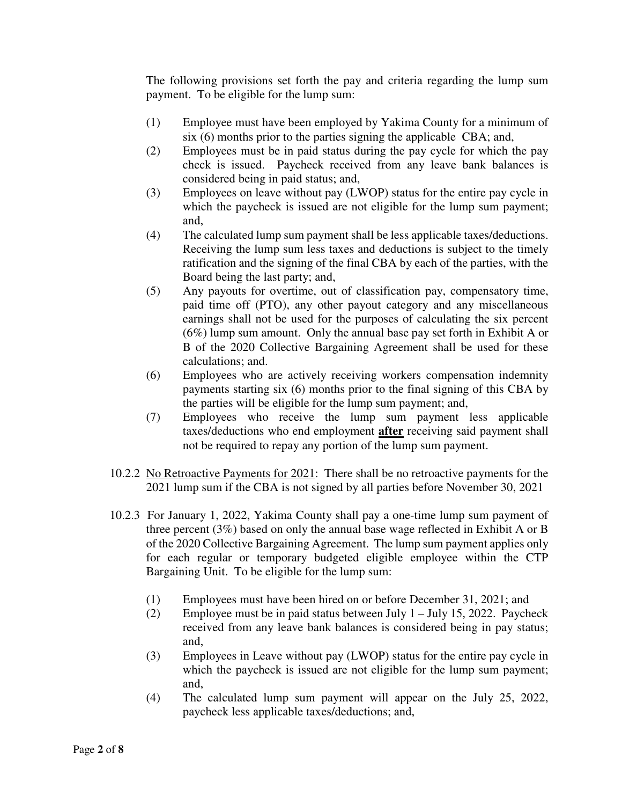The following provisions set forth the pay and criteria regarding the lump sum payment. To be eligible for the lump sum:

- (1) Employee must have been employed by Yakima County for a minimum of six (6) months prior to the parties signing the applicable CBA; and,
- (2) Employees must be in paid status during the pay cycle for which the pay check is issued. Paycheck received from any leave bank balances is considered being in paid status; and,
- (3) Employees on leave without pay (LWOP) status for the entire pay cycle in which the paycheck is issued are not eligible for the lump sum payment; and,
- (4) The calculated lump sum payment shall be less applicable taxes/deductions. Receiving the lump sum less taxes and deductions is subject to the timely ratification and the signing of the final CBA by each of the parties, with the Board being the last party; and,
- (5) Any payouts for overtime, out of classification pay, compensatory time, paid time off (PTO), any other payout category and any miscellaneous earnings shall not be used for the purposes of calculating the six percent (6%) lump sum amount. Only the annual base pay set forth in Exhibit A or B of the 2020 Collective Bargaining Agreement shall be used for these calculations; and.
- (6) Employees who are actively receiving workers compensation indemnity payments starting six (6) months prior to the final signing of this CBA by the parties will be eligible for the lump sum payment; and,
- (7) Employees who receive the lump sum payment less applicable taxes/deductions who end employment **after** receiving said payment shall not be required to repay any portion of the lump sum payment.
- 10.2.2 No Retroactive Payments for 2021: There shall be no retroactive payments for the 2021 lump sum if the CBA is not signed by all parties before November 30, 2021
- 10.2.3 For January 1, 2022, Yakima County shall pay a one-time lump sum payment of three percent (3%) based on only the annual base wage reflected in Exhibit A or B of the 2020 Collective Bargaining Agreement. The lump sum payment applies only for each regular or temporary budgeted eligible employee within the CTP Bargaining Unit. To be eligible for the lump sum:
	- (1) Employees must have been hired on or before December 31, 2021; and
	- (2) Employee must be in paid status between July  $1 -$  July 15, 2022. Paycheck received from any leave bank balances is considered being in pay status; and,
	- (3) Employees in Leave without pay (LWOP) status for the entire pay cycle in which the paycheck is issued are not eligible for the lump sum payment; and,
	- (4) The calculated lump sum payment will appear on the July 25, 2022, paycheck less applicable taxes/deductions; and,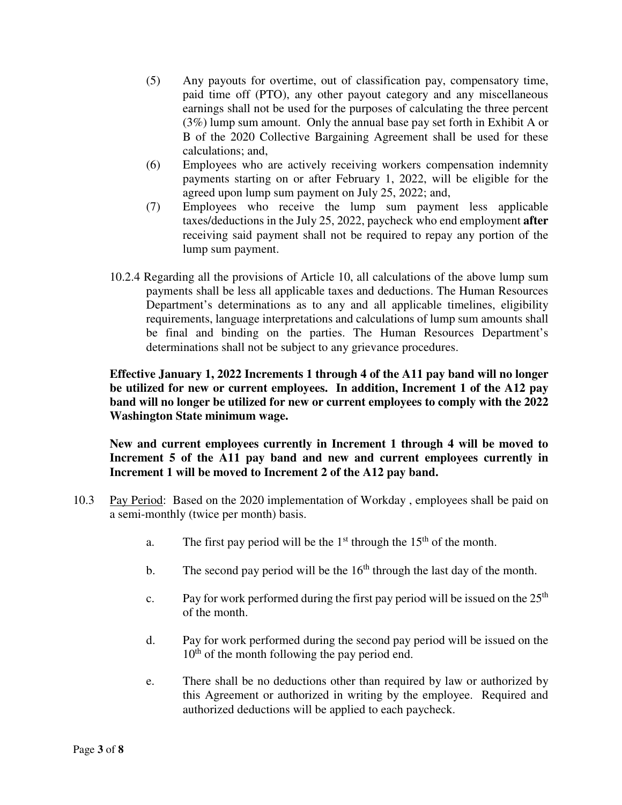- (5) Any payouts for overtime, out of classification pay, compensatory time, paid time off (PTO), any other payout category and any miscellaneous earnings shall not be used for the purposes of calculating the three percent (3%) lump sum amount. Only the annual base pay set forth in Exhibit A or B of the 2020 Collective Bargaining Agreement shall be used for these calculations; and,
- (6) Employees who are actively receiving workers compensation indemnity payments starting on or after February 1, 2022, will be eligible for the agreed upon lump sum payment on July 25, 2022; and,
- (7) Employees who receive the lump sum payment less applicable taxes/deductions in the July 25, 2022, paycheck who end employment **after**  receiving said payment shall not be required to repay any portion of the lump sum payment.
- 10.2.4 Regarding all the provisions of Article 10, all calculations of the above lump sum payments shall be less all applicable taxes and deductions. The Human Resources Department's determinations as to any and all applicable timelines, eligibility requirements, language interpretations and calculations of lump sum amounts shall be final and binding on the parties. The Human Resources Department's determinations shall not be subject to any grievance procedures.

# **Effective January 1, 2022 Increments 1 through 4 of the A11 pay band will no longer be utilized for new or current employees. In addition, Increment 1 of the A12 pay band will no longer be utilized for new or current employees to comply with the 2022 Washington State minimum wage.**

**New and current employees currently in Increment 1 through 4 will be moved to Increment 5 of the A11 pay band and new and current employees currently in Increment 1 will be moved to Increment 2 of the A12 pay band.** 

- 10.3 Pay Period: Based on the 2020 implementation of Workday , employees shall be paid on a semi-monthly (twice per month) basis.
	- a. The first pay period will be the  $1<sup>st</sup>$  through the  $15<sup>th</sup>$  of the month.
	- b. The second pay period will be the  $16<sup>th</sup>$  through the last day of the month.
	- c. Pay for work performed during the first pay period will be issued on the  $25<sup>th</sup>$ of the month.
	- d. Pay for work performed during the second pay period will be issued on the 10<sup>th</sup> of the month following the pay period end.
	- e. There shall be no deductions other than required by law or authorized by this Agreement or authorized in writing by the employee. Required and authorized deductions will be applied to each paycheck.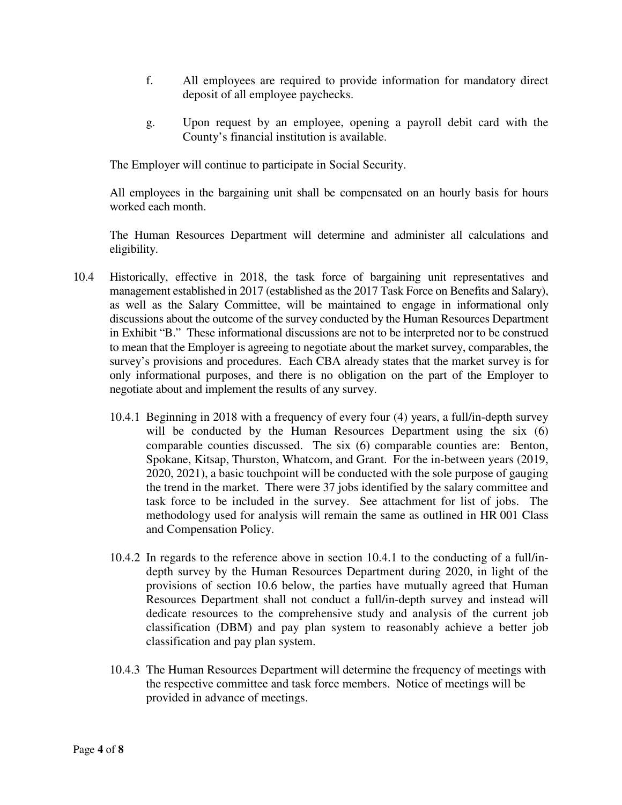- f. All employees are required to provide information for mandatory direct deposit of all employee paychecks.
- g. Upon request by an employee, opening a payroll debit card with the County's financial institution is available.

The Employer will continue to participate in Social Security.

All employees in the bargaining unit shall be compensated on an hourly basis for hours worked each month.

The Human Resources Department will determine and administer all calculations and eligibility.

- 10.4 Historically, effective in 2018, the task force of bargaining unit representatives and management established in 2017 (established as the 2017 Task Force on Benefits and Salary), as well as the Salary Committee, will be maintained to engage in informational only discussions about the outcome of the survey conducted by the Human Resources Department in Exhibit "B." These informational discussions are not to be interpreted nor to be construed to mean that the Employer is agreeing to negotiate about the market survey, comparables, the survey's provisions and procedures. Each CBA already states that the market survey is for only informational purposes, and there is no obligation on the part of the Employer to negotiate about and implement the results of any survey.
	- 10.4.1 Beginning in 2018 with a frequency of every four (4) years, a full/in-depth survey will be conducted by the Human Resources Department using the six (6) comparable counties discussed. The six (6) comparable counties are: Benton, Spokane, Kitsap, Thurston, Whatcom, and Grant. For the in-between years (2019, 2020, 2021), a basic touchpoint will be conducted with the sole purpose of gauging the trend in the market. There were 37 jobs identified by the salary committee and task force to be included in the survey. See attachment for list of jobs. The methodology used for analysis will remain the same as outlined in HR 001 Class and Compensation Policy.
	- 10.4.2 In regards to the reference above in section 10.4.1 to the conducting of a full/indepth survey by the Human Resources Department during 2020, in light of the provisions of section 10.6 below, the parties have mutually agreed that Human Resources Department shall not conduct a full/in-depth survey and instead will dedicate resources to the comprehensive study and analysis of the current job classification (DBM) and pay plan system to reasonably achieve a better job classification and pay plan system.
	- 10.4.3 The Human Resources Department will determine the frequency of meetings with the respective committee and task force members. Notice of meetings will be provided in advance of meetings.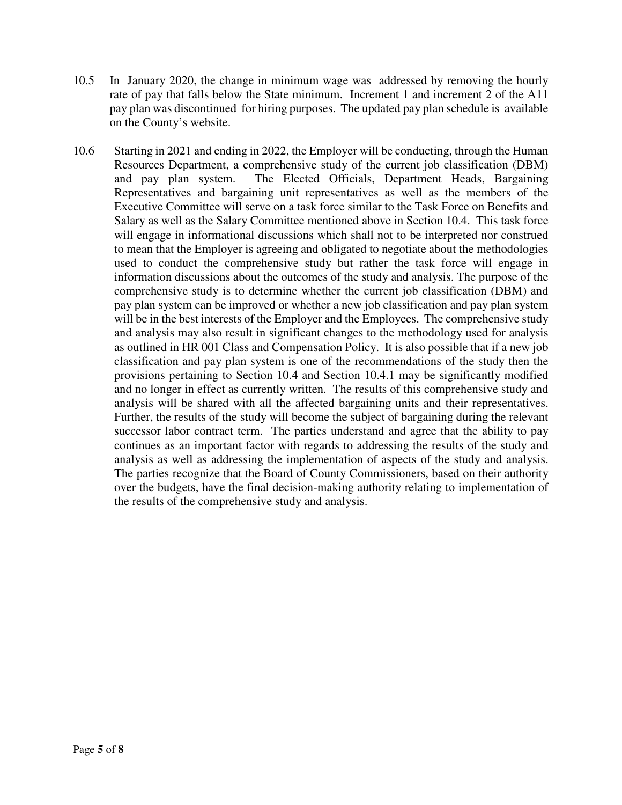- 10.5 In January 2020, the change in minimum wage was addressed by removing the hourly rate of pay that falls below the State minimum. Increment 1 and increment 2 of the A11 pay plan was discontinued for hiring purposes. The updated pay plan schedule is available on the County's website.
- 10.6 Starting in 2021 and ending in 2022, the Employer will be conducting, through the Human Resources Department, a comprehensive study of the current job classification (DBM) and pay plan system. The Elected Officials, Department Heads, Bargaining Representatives and bargaining unit representatives as well as the members of the Executive Committee will serve on a task force similar to the Task Force on Benefits and Salary as well as the Salary Committee mentioned above in Section 10.4. This task force will engage in informational discussions which shall not to be interpreted nor construed to mean that the Employer is agreeing and obligated to negotiate about the methodologies used to conduct the comprehensive study but rather the task force will engage in information discussions about the outcomes of the study and analysis. The purpose of the comprehensive study is to determine whether the current job classification (DBM) and pay plan system can be improved or whether a new job classification and pay plan system will be in the best interests of the Employer and the Employees. The comprehensive study and analysis may also result in significant changes to the methodology used for analysis as outlined in HR 001 Class and Compensation Policy. It is also possible that if a new job classification and pay plan system is one of the recommendations of the study then the provisions pertaining to Section 10.4 and Section 10.4.1 may be significantly modified and no longer in effect as currently written. The results of this comprehensive study and analysis will be shared with all the affected bargaining units and their representatives. Further, the results of the study will become the subject of bargaining during the relevant successor labor contract term. The parties understand and agree that the ability to pay continues as an important factor with regards to addressing the results of the study and analysis as well as addressing the implementation of aspects of the study and analysis. The parties recognize that the Board of County Commissioners, based on their authority over the budgets, have the final decision-making authority relating to implementation of the results of the comprehensive study and analysis.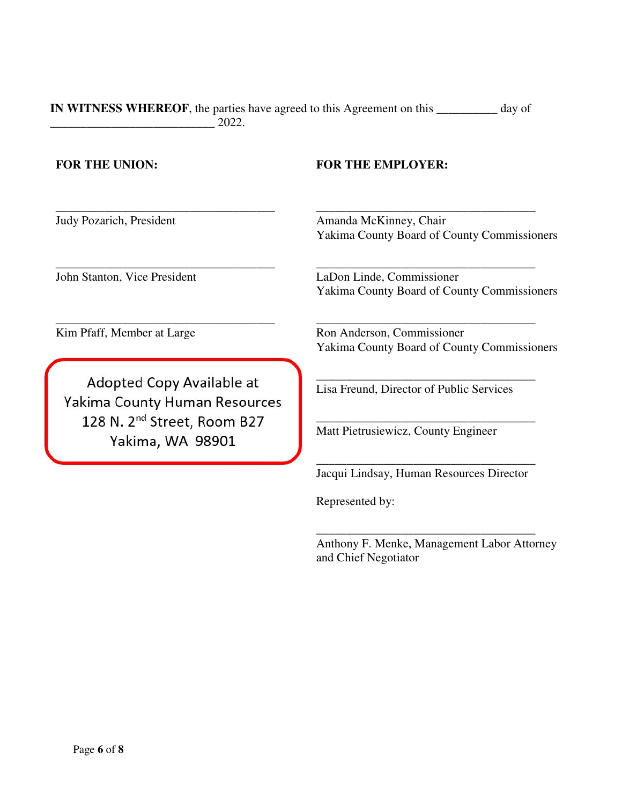**IN WITNESS WHEREOF**, the parties have agreed to this Agreement on this **\_\_\_\_\_\_\_\_\_\_** day of \_\_\_\_\_\_\_\_\_\_\_\_\_\_\_\_\_\_\_\_\_\_\_\_\_\_\_ 2022.

\_\_\_\_\_\_\_\_\_\_\_\_\_\_\_\_\_\_\_\_\_\_\_\_\_\_\_\_\_\_\_\_\_\_\_\_ Judy Pozarich, President

\_\_\_\_\_\_\_\_\_\_\_\_\_\_\_\_\_\_\_\_\_\_\_\_\_\_\_\_\_\_\_\_\_\_\_\_ John Stanton, Vice President

**FOR THE UNION: FOR THE EMPLOYER:**

\_\_\_\_\_\_\_\_\_\_\_\_\_\_\_\_\_\_\_\_\_\_\_\_\_\_\_\_\_\_\_\_\_\_\_\_ Amanda McKinney, Chair Yakima County Board of County Commissioners

LaDon Linde, Commissioner Yakima County Board of County Commissioners

\_\_\_\_\_\_\_\_\_\_\_\_\_\_\_\_\_\_\_\_\_\_\_\_\_\_\_\_\_\_\_\_\_\_\_\_

\_\_\_\_\_\_\_\_\_\_\_\_\_\_\_\_\_\_\_\_\_\_\_\_\_\_\_\_\_\_\_\_\_\_\_\_

\_\_\_\_\_\_\_\_\_\_\_\_\_\_\_\_\_\_\_\_\_\_\_\_\_\_\_\_\_\_\_\_\_\_\_\_

\_\_\_\_\_\_\_\_\_\_\_\_\_\_\_\_\_\_\_\_\_\_\_\_\_\_\_\_\_\_\_\_\_\_\_\_

Kim Pfaff, Member at Large

Adopted Copy Available at Yakima County Human Resources 128 N. 2<sup>nd</sup> Street, Room B27 Yakima, WA 98901

\_\_\_\_\_\_\_\_\_\_\_\_\_\_\_\_\_\_\_\_\_\_\_\_\_\_\_\_\_\_\_\_\_\_\_\_

Ron Anderson, Commissioner Yakima County Board of County Commissioners

Lisa Freund, Director of Public Services

Matt Pietrusiewicz, County Engineer

\_\_\_\_\_\_\_\_\_\_\_\_\_\_\_\_\_\_\_\_\_\_\_\_\_\_\_\_\_\_\_\_\_\_\_\_ Jacqui Lindsay, Human Resources Director

Represented by:

Anthony F. Menke, Management Labor Attorney and Chief Negotiator

\_\_\_\_\_\_\_\_\_\_\_\_\_\_\_\_\_\_\_\_\_\_\_\_\_\_\_\_\_\_\_\_\_\_\_\_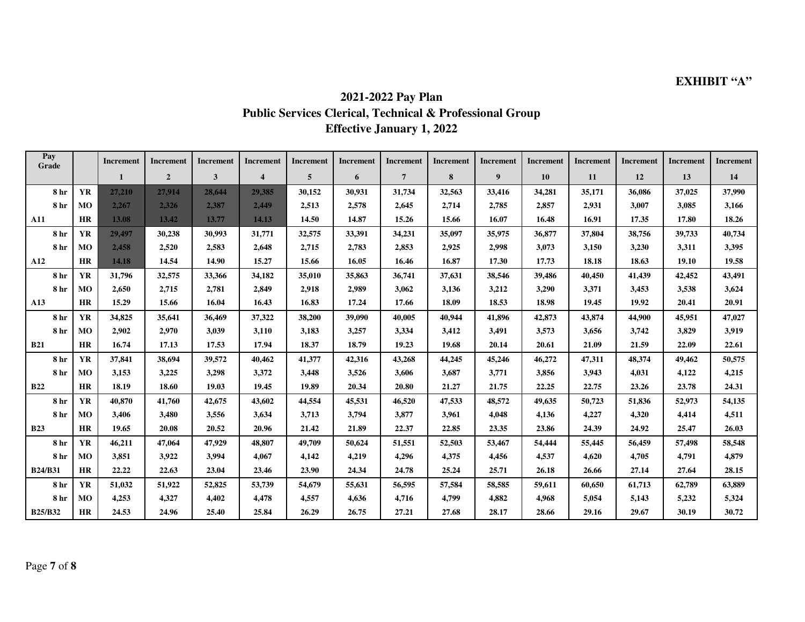# **EXHIBIT "A"**

# **2021-2022 Pay Plan Public Services Clerical, Technical & Professional Group Effective January 1, 2022**

| Pay<br>Grade   |                | Increment | Increment      | Increment | Increment        | Increment | Increment | Increment      | Increment | Increment | Increment | Increment | Increment | Increment | Increment |
|----------------|----------------|-----------|----------------|-----------|------------------|-----------|-----------|----------------|-----------|-----------|-----------|-----------|-----------|-----------|-----------|
|                |                | 1         | $\overline{2}$ | 3         | $\boldsymbol{4}$ | 5         | 6         | $\overline{7}$ | 8         | 9         | 10        | 11        | 12        | 13        | 14        |
| 8 hr           | <b>YR</b>      | 27,210    | 27,914         | 28,644    | 29,385           | 30,152    | 30,931    | 31,734         | 32,563    | 33,416    | 34,281    | 35,171    | 36,086    | 37,025    | 37,990    |
| 8 hr           | MO             | 2,267     | 2,326          | 2,387     | 2,449            | 2,513     | 2,578     | 2,645          | 2,714     | 2,785     | 2,857     | 2,931     | 3,007     | 3,085     | 3,166     |
| A11            | <b>HR</b>      | 13.08     | 13.42          | 13.77     | 14.13            | 14.50     | 14.87     | 15.26          | 15.66     | 16.07     | 16.48     | 16.91     | 17.35     | 17.80     | 18.26     |
| 8 hr           | <b>YR</b>      | 29,497    | 30,238         | 30,993    | 31,771           | 32,575    | 33,391    | 34,231         | 35,097    | 35,975    | 36,877    | 37,804    | 38,756    | 39,733    | 40,734    |
| 8 hr           | <b>MO</b>      | 2,458     | 2,520          | 2,583     | 2,648            | 2,715     | 2,783     | 2,853          | 2,925     | 2,998     | 3,073     | 3,150     | 3,230     | 3,311     | 3,395     |
| A12            | <b>HR</b>      | 14.18     | 14.54          | 14.90     | 15.27            | 15.66     | 16.05     | 16.46          | 16.87     | 17.30     | 17.73     | 18.18     | 18.63     | 19.10     | 19.58     |
| 8 hr           | <b>YR</b>      | 31,796    | 32,575         | 33,366    | 34,182           | 35,010    | 35,863    | 36,741         | 37,631    | 38,546    | 39,486    | 40,450    | 41,439    | 42,452    | 43,491    |
| 8 hr           | M <sub>O</sub> | 2,650     | 2,715          | 2,781     | 2,849            | 2,918     | 2,989     | 3,062          | 3,136     | 3,212     | 3,290     | 3,371     | 3,453     | 3,538     | 3,624     |
| A13            | <b>HR</b>      | 15.29     | 15.66          | 16.04     | 16.43            | 16.83     | 17.24     | 17.66          | 18.09     | 18.53     | 18.98     | 19.45     | 19.92     | 20.41     | 20.91     |
| 8 hr           | <b>YR</b>      | 34.825    | 35,641         | 36,469    | 37,322           | 38,200    | 39,090    | 40,005         | 40,944    | 41,896    | 42,873    | 43,874    | 44,900    | 45,951    | 47,027    |
| 8 hr           | M <sub>O</sub> | 2,902     | 2,970          | 3,039     | 3,110            | 3,183     | 3,257     | 3,334          | 3,412     | 3,491     | 3,573     | 3,656     | 3,742     | 3,829     | 3,919     |
| <b>B21</b>     | <b>HR</b>      | 16.74     | 17.13          | 17.53     | 17.94            | 18.37     | 18.79     | 19.23          | 19.68     | 20.14     | 20.61     | 21.09     | 21.59     | 22.09     | 22.61     |
| 8 hr           | <b>YR</b>      | 37,841    | 38,694         | 39,572    | 40,462           | 41,377    | 42,316    | 43,268         | 44,245    | 45,246    | 46,272    | 47,311    | 48,374    | 49,462    | 50,575    |
| 8 hr           | M <sub>O</sub> | 3,153     | 3,225          | 3,298     | 3,372            | 3,448     | 3,526     | 3,606          | 3,687     | 3,771     | 3,856     | 3,943     | 4,031     | 4,122     | 4,215     |
| <b>B22</b>     | <b>HR</b>      | 18.19     | 18.60          | 19.03     | 19.45            | 19.89     | 20.34     | 20.80          | 21.27     | 21.75     | 22.25     | 22.75     | 23.26     | 23.78     | 24.31     |
| 8 hr           | <b>YR</b>      | 40.870    | 41,760         | 42,675    | 43.602           | 44,554    | 45.531    | 46,520         | 47,533    | 48.572    | 49,635    | 50,723    | 51,836    | 52,973    | 54,135    |
| 8 hr           | MO             | 3,406     | 3,480          | 3,556     | 3,634            | 3,713     | 3,794     | 3,877          | 3,961     | 4,048     | 4,136     | 4,227     | 4,320     | 4,414     | 4,511     |
| <b>B23</b>     | <b>HR</b>      | 19.65     | 20.08          | 20.52     | 20.96            | 21.42     | 21.89     | 22.37          | 22.85     | 23.35     | 23.86     | 24.39     | 24.92     | 25.47     | 26.03     |
| 8 hr           | <b>YR</b>      | 46,211    | 47,064         | 47,929    | 48,807           | 49,709    | 50.624    | 51,551         | 52,503    | 53,467    | 54,444    | 55,445    | 56,459    | 57,498    | 58,548    |
| 8 hr           | MO             | 3,851     | 3,922          | 3,994     | 4,067            | 4,142     | 4,219     | 4,296          | 4,375     | 4,456     | 4,537     | 4,620     | 4,705     | 4,791     | 4,879     |
| <b>B24/B31</b> | HR             | 22.22     | 22.63          | 23.04     | 23.46            | 23.90     | 24.34     | 24.78          | 25.24     | 25.71     | 26.18     | 26.66     | 27.14     | 27.64     | 28.15     |
| 8 hr           | <b>YR</b>      | 51,032    | 51,922         | 52,825    | 53,739           | 54,679    | 55,631    | 56,595         | 57,584    | 58,585    | 59,611    | 60,650    | 61,713    | 62,789    | 63,889    |
| 8 hr           | MO             | 4,253     | 4,327          | 4,402     | 4,478            | 4,557     | 4,636     | 4,716          | 4,799     | 4,882     | 4,968     | 5,054     | 5,143     | 5,232     | 5,324     |
| <b>B25/B32</b> | <b>HR</b>      | 24.53     | 24.96          | 25.40     | 25.84            | 26.29     | 26.75     | 27.21          | 27.68     | 28.17     | 28.66     | 29.16     | 29.67     | 30.19     | 30.72     |